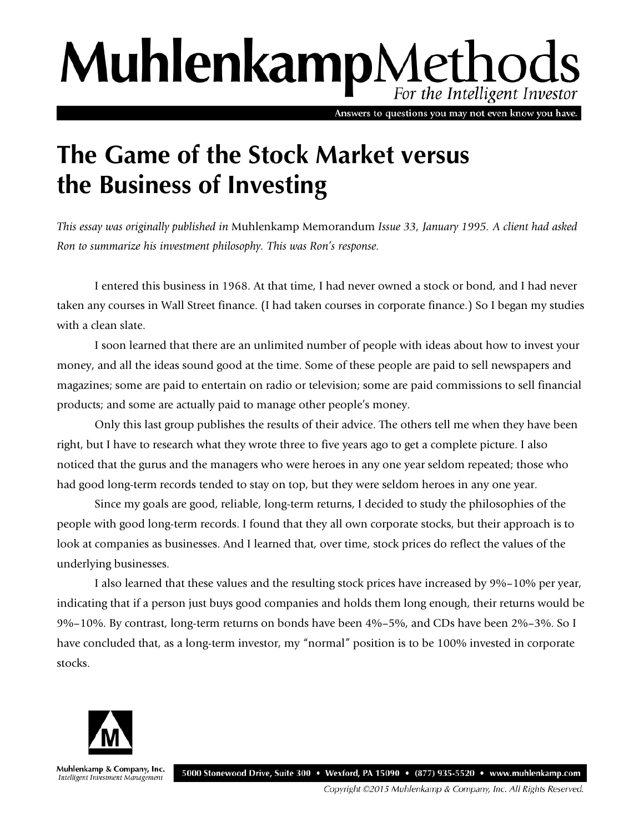## MuhlenkampMethods For the Intelligent Investor

Answers to questions you may not even know you have.

## **The Game of the Stock Market versus the Business of Investing**

*This essay was originally published in* Muhlenkamp Memorandum *Issue 33, January 1995. A client had asked Ron to summarize his investment philosophy. This was Ron's response.* 

I entered this business in 1968. At that time, I had never owned a stock or bond, and I had never taken any courses in Wall Street finance. (I had taken courses in corporate finance.) So I began my studies with a clean slate.

I soon learned that there are an unlimited number of people with ideas about how to invest your money, and all the ideas sound good at the time. Some of these people are paid to sell newspapers and magazines; some are paid to entertain on radio or television; some are paid commissions to sell financial products; and some are actually paid to manage other people's money.

Only this last group publishes the results of their advice. The others tell me when they have been right, but I have to research what they wrote three to five years ago to get a complete picture. I also noticed that the gurus and the managers who were heroes in any one year seldom repeated; those who had good long-term records tended to stay on top, but they were seldom heroes in any one year.

Since my goals are good, reliable, long-term returns, I decided to study the philosophies of the people with good long-term records. I found that they all own corporate stocks, but their approach is to look at companies as businesses. And I learned that, over time, stock prices do reflect the values of the underlying businesses.

I also learned that these values and the resulting stock prices have increased by 9%–10% per year, indicating that if a person just buys good companies and holds them long enough, their returns would be 9%–10%. By contrast, long-term returns on bonds have been 4%–5%, and CDs have been 2%–3%. So I have concluded that, as a long-term investor, my "normal" position is to be 100% invested in corporate stocks.



Muhlenkamp & Company, Inc. Intelligent Investment Management

5000 Stonewood Drive, Suite 300 • Wexford, PA 15090 • (877) 935-5520 • www.muhlenkamp.com

Copyright ©2015 Muhlenkamp & Company, Inc. All Rights Reserved.